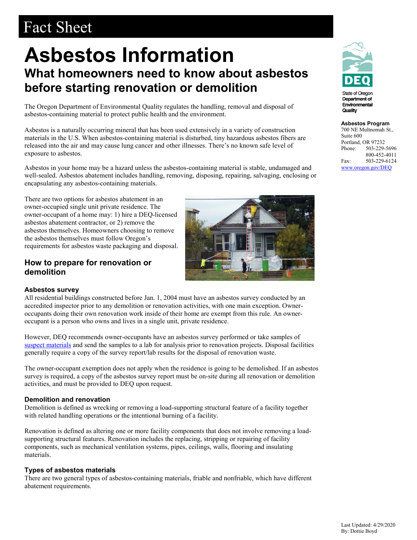# Fact Sheet

## **Asbestos Information What homeowners need to know about asbestos before starting renovation or demolition**

The Oregon Department of Environmental Quality regulates the handling, removal and disposal of asbestos-containing material to protect public health and the environment.

Asbestos is a naturally occurring mineral that has been used extensively in a variety of construction materials in the U.S. When asbestos-containing material is disturbed, tiny hazardous asbestos fibers are released into the air and may cause lung cancer and other illnesses. There's no known safe level of exposure to asbestos.

Asbestos in your home may be a hazard unless the asbestos-containing material is stable, undamaged and well-sealed. Asbestos abatement includes handling, removing, disposing, repairing, salvaging, enclosing or encapsulating any asbestos-containing materials.

There are two options for asbestos abatement in an owner-occupied single unit private residence. The owner-occupant of a home may: 1) hire a DEQ-licensed asbestos abatement contractor, or 2) remove the asbestos themselves. Homeowners choosing to remove the asbestos themselves must follow Oregon's requirements for asbestos waste packaging and disposal.

## **How to prepare for renovation or demolition**



All residential buildings constructed before Jan. 1, 2004 must have an asbestos survey conducted by an accredited inspector prior to any demolition or renovation activities, with one main exception. Owneroccupants doing their own renovation work inside of their home are exempt from this rule. An owneroccupant is a person who owns and lives in a single unit, private residence.

However, DEQ recommends owner-occupants have an asbestos survey performed or take samples of [suspect materials](https://www.oregon.gov/deq/FilterDocs/matwithasbestos-en.pdf) and send the samples to a lab for analysis prior to renovation projects. Disposal facilities generally require a copy of the survey report/lab results for the disposal of renovation waste.

The owner-occupant exemption does not apply when the residence is going to be demolished. If an asbestos survey is required, a copy of the asbestos survey report must be on-site during all renovation or demolition activities, and must be provided to DEQ upon request.

#### **Demolition and renovation**

Demolition is defined as wrecking or removing a load-supporting structural feature of a facility together with related handling operations or the intentional burning of a facility.

Renovation is defined as altering one or more facility components that does not involve removing a loadsupporting structural features. Renovation includes the replacing, stripping or repairing of facility components, such as mechanical ventilation systems, pipes, ceilings, walls, flooring and insulating materials.

#### **Types of asbestos materials**

There are two general types of asbestos-containing materials, friable and nonfriable, which have different abatement requirements.



**State of Oregor** Department of Environmental Quality

**Asbestos Program**  700 NE Multnomah St., Suite 600 Portland, OR 97232 Phone: 503-229-5696 800-452-4011 Fax: 503-229-6124

[www.oregon.gov/DEQ](file://deqhq1/hsales/Asbestos%20Coordinator/Fact%20Sheets%20and%20Guidance/www.oregon.gov/DEQ)

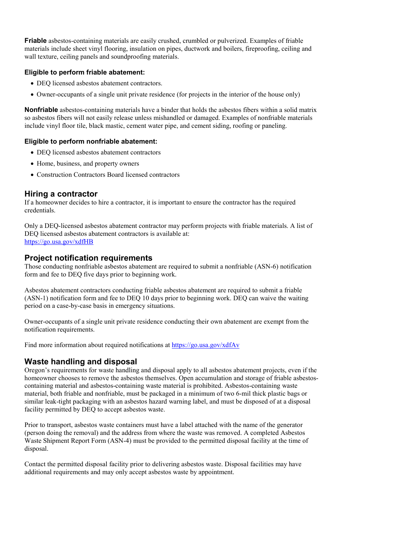**Friable** asbestos-containing materials are easily crushed, crumbled or pulverized. Examples of friable materials include sheet vinyl flooring, insulation on pipes, ductwork and boilers, fireproofing, ceiling and wall texture, ceiling panels and soundproofing materials.

#### **Eligible to perform friable abatement:**

- DEQ licensed asbestos abatement contractors.
- Owner-occupants of a single unit private residence (for projects in the interior of the house only)

**Nonfriable** asbestos-containing materials have a binder that holds the asbestos fibers within a solid matrix so asbestos fibers will not easily release unless mishandled or damaged. Examples of nonfriable materials include vinyl floor tile, black mastic, cement water pipe, and cement siding, roofing or paneling.

#### **Eligible to perform nonfriable abatement:**

- DEQ licensed asbestos abatement contractors
- Home, business, and property owners
- Construction Contractors Board licensed contractors

#### **Hiring a contractor**

If a homeowner decides to hire a contractor, it is important to ensure the contractor has the required credentials.

Only a DEQ-licensed asbestos abatement contractor may perform projects with friable materials. A list of DEQ licensed asbestos abatement contractors is available at: [https://go.usa.gov/xdfHB](http://www.oregon.gov/deq/FilterDocs/asb-contr.pdf)

#### **Project notification requirements**

Those conducting nonfriable asbestos abatement are required to submit a nonfriable (ASN-6) notification form and fee to DEQ five days prior to beginning work.

Asbestos abatement contractors conducting friable asbestos abatement are required to submit a friable (ASN-1) notification form and fee to DEQ 10 days prior to beginning work. DEQ can waive the waiting period on a case-by-case basis in emergency situations.

Owner-occupants of a single unit private residence conducting their own abatement are exempt from the notification requirements.

Find more information about required notifications at<https://go.usa.gov/xdfAv>

### **Waste handling and disposal**

Oregon's requirements for waste handling and disposal apply to all asbestos abatement projects, even if the homeowner chooses to remove the asbestos themselves. Open accumulation and storage of friable asbestoscontaining material and asbestos-containing waste material is prohibited. Asbestos-containing waste material, both friable and nonfriable, must be packaged in a minimum of two 6-mil thick plastic bags or similar leak-tight packaging with an asbestos hazard warning label, and must be disposed of at a disposal facility permitted by DEQ to accept asbestos waste.

Prior to transport, asbestos waste containers must have a label attached with the name of the generator (person doing the removal) and the address from where the waste was removed. A completed Asbestos Waste Shipment Report Form (ASN-4) must be provided to the permitted disposal facility at the time of disposal.

Contact the permitted disposal facility prior to delivering asbestos waste. Disposal facilities may have additional requirements and may only accept asbestos waste by appointment.